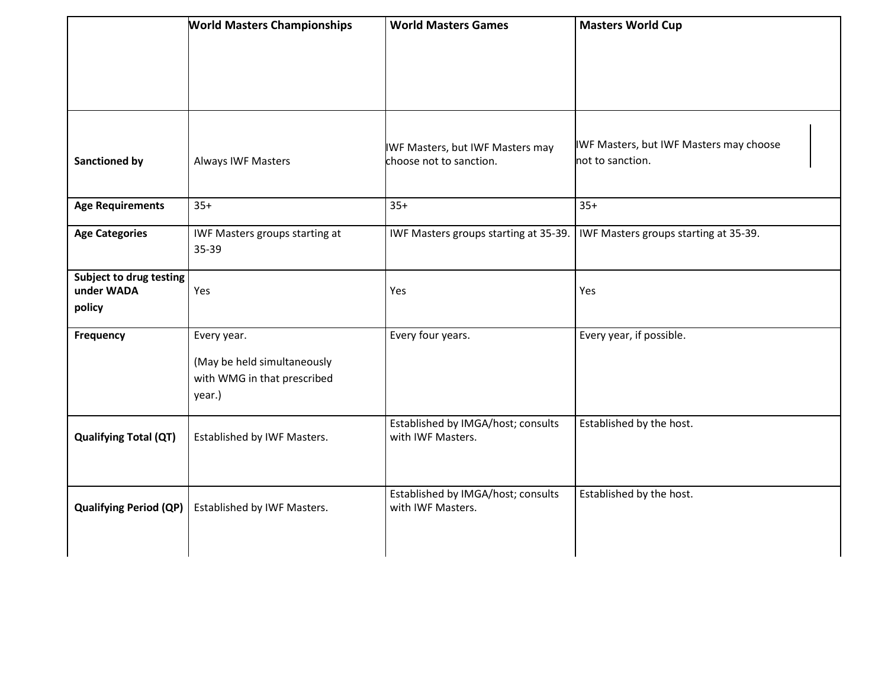|                                                 | <b>World Masters Championships</b>                                                  | <b>World Masters Games</b>                                  | <b>Masters World Cup</b>                                    |
|-------------------------------------------------|-------------------------------------------------------------------------------------|-------------------------------------------------------------|-------------------------------------------------------------|
|                                                 |                                                                                     |                                                             |                                                             |
|                                                 |                                                                                     |                                                             |                                                             |
|                                                 |                                                                                     |                                                             |                                                             |
| <b>Sanctioned by</b>                            | <b>Always IWF Masters</b>                                                           | IWF Masters, but IWF Masters may<br>choose not to sanction. | IWF Masters, but IWF Masters may choose<br>not to sanction. |
| <b>Age Requirements</b>                         | $35+$                                                                               | $35+$                                                       | $35+$                                                       |
| <b>Age Categories</b>                           | IWF Masters groups starting at<br>35-39                                             | IWF Masters groups starting at 35-39.                       | IWF Masters groups starting at 35-39.                       |
| Subject to drug testing<br>under WADA<br>policy | Yes                                                                                 | Yes                                                         | Yes                                                         |
| Frequency                                       | Every year.<br>(May be held simultaneously<br>with WMG in that prescribed<br>year.) | Every four years.                                           | Every year, if possible.                                    |
| <b>Qualifying Total (QT)</b>                    | Established by IWF Masters.                                                         | Established by IMGA/host; consults<br>with IWF Masters.     | Established by the host.                                    |
| <b>Qualifying Period (QP)</b>                   | Established by IWF Masters.                                                         | Established by IMGA/host; consults<br>with IWF Masters.     | Established by the host.                                    |